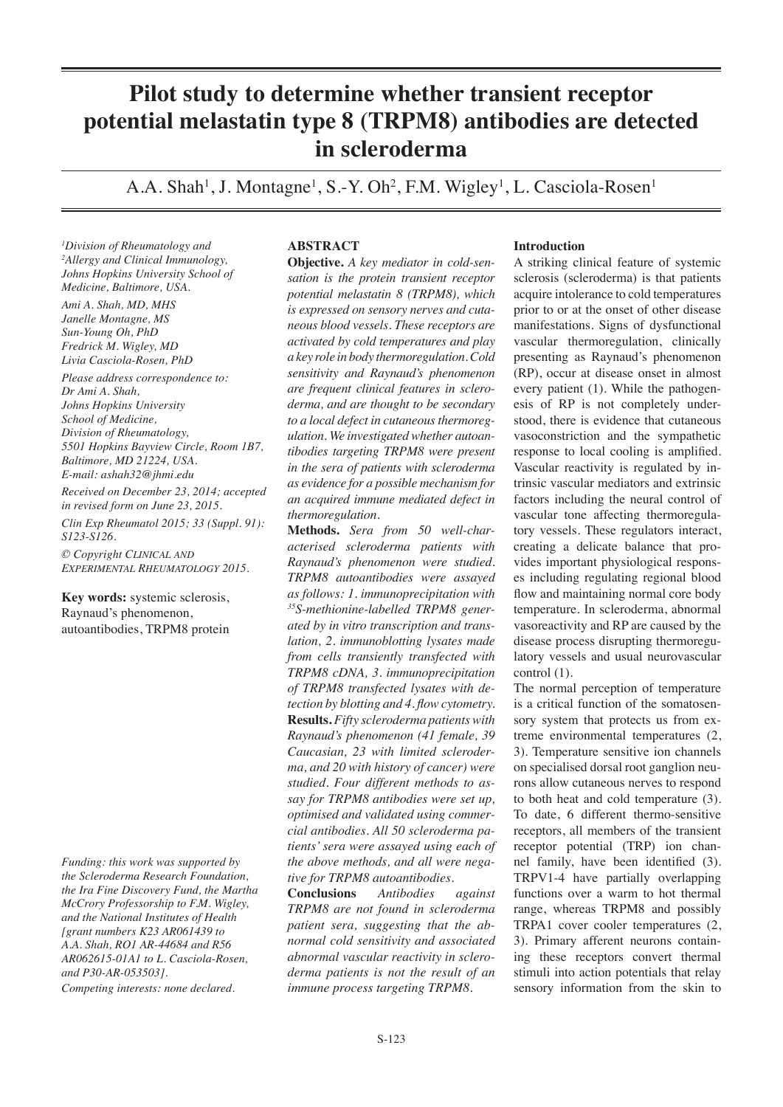# **Pilot study to determine whether transient receptor potential melastatin type 8 (TRPM8) antibodies are detected in scleroderma**

A.A. Shah<sup>1</sup>, J. Montagne<sup>1</sup>, S.-Y. Oh<sup>2</sup>, F.M. Wigley<sup>1</sup>, L. Casciola-Rosen<sup>1</sup>

*1 Division of Rheumatology and 2 Allergy and Clinical Immunology, Johns Hopkins University School of Medicine, Baltimore, USA. Ami A. Shah, MD, MHS Janelle Montagne, MS Sun-Young Oh, PhD Fredrick M. Wigley, MD Livia Casciola-Rosen, PhD Please address correspondence to: Dr Ami A. Shah, Johns Hopkins University School of Medicine, Division of Rheumatology, 5501 Hopkins Bayview Circle, Room 1B7,* 

*Baltimore, MD 21224, USA. E-mail: ashah32@jhmi.edu Received on December 23, 2014; accepted* 

*in revised form on June 23, 2015.*

*Clin Exp Rheumatol 2015; 33 (Suppl. 91): S123-S126.*

*© Copyright Clinical and Experimental Rheumatology 2015.*

**Key words:** systemic sclerosis, Raynaud's phenomenon, autoantibodies, TRPM8 protein

*Funding: this work was supported by the Scleroderma Research Foundation, the Ira Fine Discovery Fund, the Martha McCrory Professorship to F.M. Wigley, and the National Institutes of Health [grant numbers K23 AR061439 to A.A. Shah, RO1 AR-44684 and R56 AR062615-01A1 to L. Casciola-Rosen, and P30-AR-053503].*

*Competing interests: none declared.*

# **ABSTRACT**

**Objective.** *A key mediator in cold-sensation is the protein transient receptor potential melastatin 8 (TRPM8), which is expressed on sensory nerves and cutaneous blood vessels. These receptors are activated by cold temperatures and play a key role in body thermoregulation. Cold sensitivity and Raynaud's phenomenon are frequent clinical features in scleroderma, and are thought to be secondary to a local defect in cutaneous thermoregulation. We investigated whether autoantibodies targeting TRPM8 were present in the sera of patients with scleroderma as evidence for a possible mechanism for an acquired immune mediated defect in thermoregulation.* 

**Methods.** *Sera from 50 well-characterised scleroderma patients with Raynaud's phenomenon were studied. TRPM8 autoantibodies were assayed as follows: 1. immunoprecipitation with 35S-methionine-labelled TRPM8 generated by in vitro transcription and translation, 2. immunoblotting lysates made from cells transiently transfected with TRPM8 cDNA, 3. immunoprecipitation of TRPM8 transfected lysates with detection by blotting and 4. flow cytometry.* **Results.** *Fifty scleroderma patients with Raynaud's phenomenon (41 female, 39 Caucasian, 23 with limited scleroderma, and 20 with history of cancer) were studied. Four different methods to assay for TRPM8 antibodies were set up, optimised and validated using commercial antibodies. All 50 scleroderma patients' sera were assayed using each of the above methods, and all were negative for TRPM8 autoantibodies.* 

**Conclusions** *Antibodies against TRPM8 are not found in scleroderma patient sera, suggesting that the abnormal cold sensitivity and associated abnormal vascular reactivity in scleroderma patients is not the result of an immune process targeting TRPM8.*

# **Introduction**

A striking clinical feature of systemic sclerosis (scleroderma) is that patients acquire intolerance to cold temperatures prior to or at the onset of other disease manifestations. Signs of dysfunctional vascular thermoregulation, clinically presenting as Raynaud's phenomenon (RP), occur at disease onset in almost every patient (1). While the pathogenesis of RP is not completely understood, there is evidence that cutaneous vasoconstriction and the sympathetic response to local cooling is amplified. Vascular reactivity is regulated by intrinsic vascular mediators and extrinsic factors including the neural control of vascular tone affecting thermoregulatory vessels. These regulators interact, creating a delicate balance that provides important physiological responses including regulating regional blood flow and maintaining normal core body temperature. In scleroderma, abnormal vasoreactivity and RP are caused by the disease process disrupting thermoregulatory vessels and usual neurovascular control (1).

The normal perception of temperature is a critical function of the somatosensory system that protects us from extreme environmental temperatures (2, 3). Temperature sensitive ion channels on specialised dorsal root ganglion neurons allow cutaneous nerves to respond to both heat and cold temperature (3). To date, 6 different thermo-sensitive receptors, all members of the transient receptor potential (TRP) ion channel family, have been identified (3). TRPV1-4 have partially overlapping functions over a warm to hot thermal range, whereas TRPM8 and possibly TRPA1 cover cooler temperatures (2, 3). Primary afferent neurons containing these receptors convert thermal stimuli into action potentials that relay sensory information from the skin to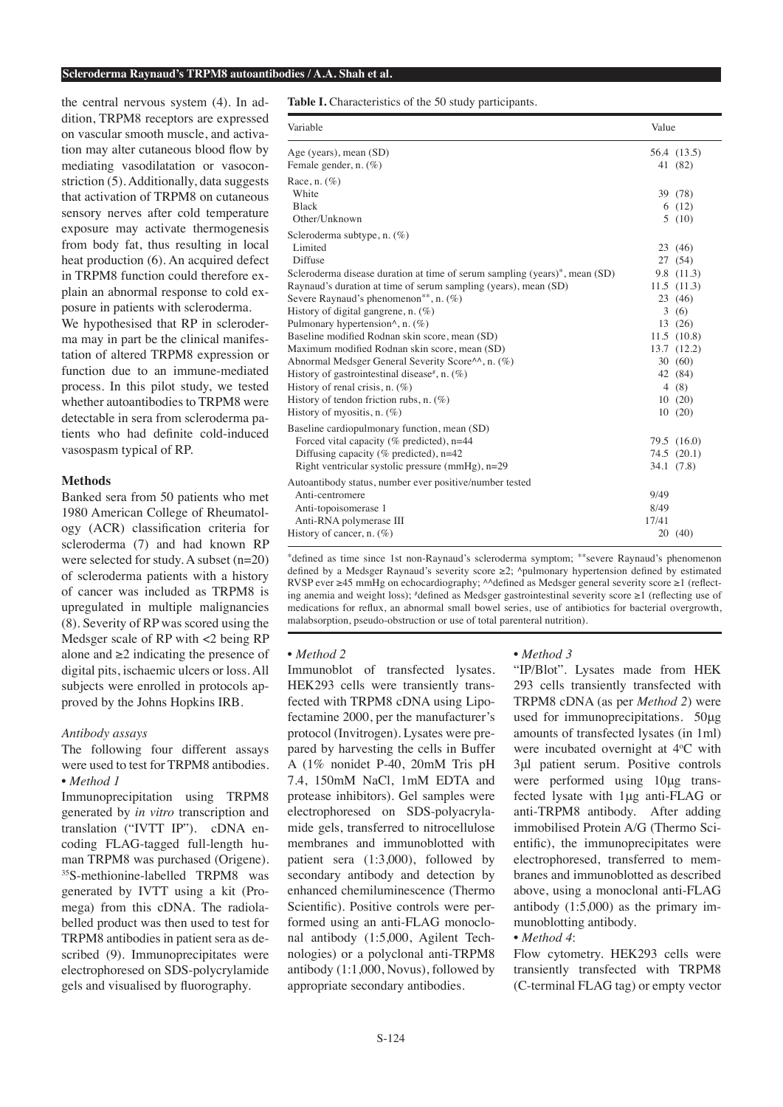#### **Scleroderma Raynaud's TRPM8 autoantibodies / A.A. Shah et al.**

the central nervous system (4). In addition, TRPM8 receptors are expressed on vascular smooth muscle, and activation may alter cutaneous blood flow by mediating vasodilatation or vasoconstriction (5). Additionally, data suggests that activation of TRPM8 on cutaneous sensory nerves after cold temperature exposure may activate thermogenesis from body fat, thus resulting in local heat production (6). An acquired defect in TRPM8 function could therefore explain an abnormal response to cold exposure in patients with scleroderma. We hypothesised that RP in scleroderma may in part be the clinical manifes-

tation of altered TRPM8 expression or function due to an immune-mediated process. In this pilot study, we tested whether autoantibodies to TRPM8 were detectable in sera from scleroderma patients who had definite cold-induced vasospasm typical of RP.

# **Methods**

Banked sera from 50 patients who met 1980 American College of Rheumatology (ACR) classification criteria for scleroderma (7) and had known RP were selected for study. A subset (n=20) of scleroderma patients with a history of cancer was included as TRPM8 is upregulated in multiple malignancies (8). Severity of RP was scored using the Medsger scale of RP with <2 being RP alone and  $\geq 2$  indicating the presence of digital pits, ischaemic ulcers or loss. All subjects were enrolled in protocols approved by the Johns Hopkins IRB.

# *Antibody assays*

The following four different assays were used to test for TRPM8 antibodies. *• Method 1*

Immunoprecipitation using TRPM8 generated by *in vitro* transcription and translation ("IVTT IP"). cDNA encoding FLAG-tagged full-length human TRPM8 was purchased (Origene). <sup>35</sup>S-methionine-labelled TRPM8 was generated by IVTT using a kit (Promega) from this cDNA. The radiolabelled product was then used to test for TRPM8 antibodies in patient sera as described (9). Immunoprecipitates were electrophoresed on SDS-polycrylamide gels and visualised by fluorography.

**Table I.** Characteristics of the 50 study participants.

| Variable                                                                              |       | Value       |  |
|---------------------------------------------------------------------------------------|-------|-------------|--|
| Age (years), mean (SD)                                                                |       | 56.4 (13.5) |  |
| Female gender, n. (%)                                                                 |       | 41 (82)     |  |
| Race, n. $(\%)$                                                                       |       |             |  |
| White                                                                                 |       | 39 (78)     |  |
| <b>Black</b>                                                                          |       | 6(12)       |  |
| Other/Unknown                                                                         |       | 5(10)       |  |
| Scleroderma subtype, n. $(\%)$                                                        |       |             |  |
| Limited                                                                               |       | 23 (46)     |  |
| Diffuse                                                                               |       | 27 (54)     |  |
| Scleroderma disease duration at time of serum sampling (years)*, mean (SD)            |       | 9.8 (11.3)  |  |
| Raynaud's duration at time of serum sampling (years), mean (SD)                       |       | 11.5(11.3)  |  |
| Severe Raynaud's phenomenon**, n. (%)                                                 |       | 23 (46)     |  |
| History of digital gangrene, n. $(\%)$                                                | 3     | (6)         |  |
| Pulmonary hypertension $\land$ , n. $(\%)$                                            |       | 13 (26)     |  |
| Baseline modified Rodnan skin score, mean (SD)                                        |       | 11.5(10.8)  |  |
| Maximum modified Rodnan skin score, mean (SD)                                         |       | 13.7 (12.2) |  |
| Abnormal Medsger General Severity Score <sup><math>\wedge\wedge</math></sup> , n. (%) |       | 30(60)      |  |
| History of gastrointestinal disease <sup>#</sup> , n. $(\%)$                          |       | 42 (84)     |  |
| History of renal crisis, n. $(\%)$                                                    |       | 4(8)        |  |
| History of tendon friction rubs, n. $(\%)$                                            |       | 10(20)      |  |
| History of myositis, n. $(\%)$                                                        |       | 10(20)      |  |
| Baseline cardiopulmonary function, mean (SD)                                          |       |             |  |
| Forced vital capacity ( $%$ predicted), n=44                                          |       | 79.5 (16.0) |  |
| Diffusing capacity (% predicted), $n=42$                                              |       | 74.5(20.1)  |  |
| Right ventricular systolic pressure $(mmHg)$ , $n=29$                                 |       | 34.1 (7.8)  |  |
| Autoantibody status, number ever positive/number tested                               |       |             |  |
| Anti-centromere                                                                       | 9/49  |             |  |
| Anti-topoisomerase 1                                                                  | 8/49  |             |  |
| Anti-RNA polymerase III                                                               | 17/41 |             |  |
| History of cancer, n. $(\%)$                                                          |       | 20(40)      |  |

\*defined as time since 1st non-Raynaud's scleroderma symptom; \*\*severe Raynaud's phenomenon defined by a Medsger Raynaud's severity score  $\geq 2$ ; ^pulmonary hypertension defined by estimated RVSP ever ≥45 mmHg on echocardiography; ^^defined as Medsger general severity score ≥1 (reflecting anemia and weight loss); # defined as Medsger gastrointestinal severity score ≥1 (reflecting use of medications for reflux, an abnormal small bowel series, use of antibiotics for bacterial overgrowth, malabsorption, pseudo-obstruction or use of total parenteral nutrition).

#### *• Method 2*

Immunoblot of transfected lysates. HEK293 cells were transiently transfected with TRPM8 cDNA using Lipofectamine 2000, per the manufacturer's protocol (Invitrogen). Lysates were prepared by harvesting the cells in Buffer A (1% nonidet P-40, 20mM Tris pH 7.4, 150mM NaCl, 1mM EDTA and protease inhibitors). Gel samples were electrophoresed on SDS-polyacrylamide gels, transferred to nitrocellulose membranes and immunoblotted with patient sera (1:3,000), followed by secondary antibody and detection by enhanced chemiluminescence (Thermo Scientific). Positive controls were performed using an anti-FLAG monoclonal antibody (1:5,000, Agilent Technologies) or a polyclonal anti-TRPM8 antibody (1:1,000, Novus), followed by appropriate secondary antibodies.

## *• Method 3*

"IP/Blot". Lysates made from HEK 293 cells transiently transfected with TRPM8 cDNA (as per *Method 2*) were used for immunoprecipitations. 50μg amounts of transfected lysates (in 1ml) were incubated overnight at 4°C with 3μl patient serum. Positive controls were performed using 10μg transfected lysate with 1μg anti-FLAG or anti-TRPM8 antibody. After adding immobilised Protein A/G (Thermo Scientific), the immunoprecipitates were electrophoresed, transferred to membranes and immunoblotted as described above, using a monoclonal anti-FLAG antibody (1:5,000) as the primary immunoblotting antibody.

# *• Method 4*:

Flow cytometry. HEK293 cells were transiently transfected with TRPM8 (C-terminal FLAG tag) or empty vector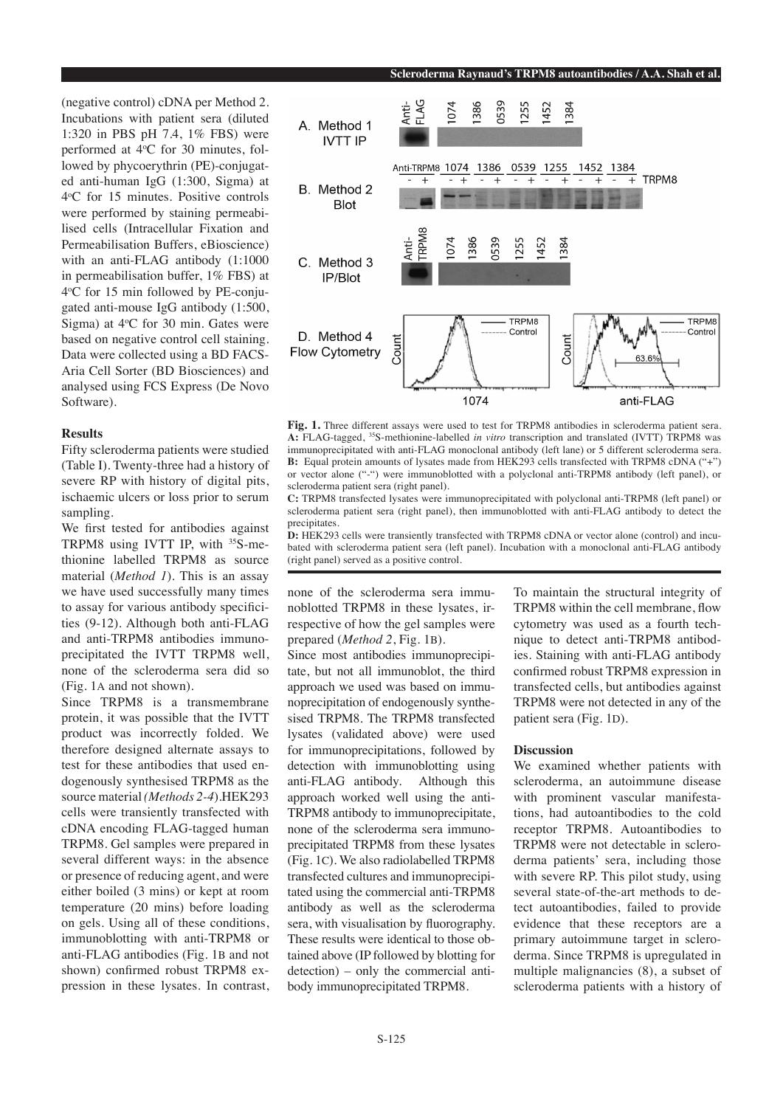(negative control) cDNA per Method 2. Incubations with patient sera (diluted 1:320 in PBS pH 7.4, 1% FBS) were performed at 4°C for 30 minutes, followed by phycoerythrin (PE)-conjugated anti-human IgG (1:300, Sigma) at 4o C for 15 minutes. Positive controls were performed by staining permeabilised cells (Intracellular Fixation and Permeabilisation Buffers, eBioscience) with an anti-FLAG antibody (1:1000 in permeabilisation buffer, 1% FBS) at 4o C for 15 min followed by PE-conjugated anti-mouse IgG antibody (1:500, Sigma) at  $4^{\circ}$ C for 30 min. Gates were based on negative control cell staining. Data were collected using a BD FACS-Aria Cell Sorter (BD Biosciences) and analysed using FCS Express (De Novo Software).

## **Results**

Fifty scleroderma patients were studied (Table I). Twenty-three had a history of severe RP with history of digital pits, ischaemic ulcers or loss prior to serum sampling.

We first tested for antibodies against TRPM8 using IVTT IP, with <sup>35</sup>S-methionine labelled TRPM8 as source material (*Method 1*). This is an assay we have used successfully many times to assay for various antibody specificities (9-12). Although both anti-FLAG and anti-TRPM8 antibodies immunoprecipitated the IVTT TRPM8 well, none of the scleroderma sera did so (Fig. 1a and not shown).

Since TRPM8 is a transmembrane protein, it was possible that the IVTT product was incorrectly folded. We therefore designed alternate assays to test for these antibodies that used endogenously synthesised TRPM8 as the source material *(Methods 2-4*).HEK293 cells were transiently transfected with cDNA encoding FLAG-tagged human TRPM8. Gel samples were prepared in several different ways: in the absence or presence of reducing agent, and were either boiled (3 mins) or kept at room temperature (20 mins) before loading on gels. Using all of these conditions, immunoblotting with anti-TRPM8 or anti-FLAG antibodies (Fig. 1b and not shown) confirmed robust TRPM8 expression in these lysates. In contrast,



Fig. 1. Three different assays were used to test for TRPM8 antibodies in scleroderma patient sera. **A:** FLAG-tagged, 35S-methionine-labelled *in vitro* transcription and translated (IVTT) TRPM8 was immunoprecipitated with anti-FLAG monoclonal antibody (left lane) or 5 different scleroderma sera. **B:** Equal protein amounts of lysates made from HEK293 cells transfected with TRPM8 cDNA ("+") or vector alone ("-") were immunoblotted with a polyclonal anti-TRPM8 antibody (left panel), or scleroderma patient sera (right panel).

**C:** TRPM8 transfected lysates were immunoprecipitated with polyclonal anti-TRPM8 (left panel) or scleroderma patient sera (right panel), then immunoblotted with anti-FLAG antibody to detect the precipitates.

**D:** HEK293 cells were transiently transfected with TRPM8 cDNA or vector alone (control) and incubated with scleroderma patient sera (left panel). Incubation with a monoclonal anti-FLAG antibody (right panel) served as a positive control.

none of the scleroderma sera immunoblotted TRPM8 in these lysates, irrespective of how the gel samples were prepared (*Method 2*, Fig. 1b).

Since most antibodies immunoprecipitate, but not all immunoblot, the third approach we used was based on immunoprecipitation of endogenously synthesised TRPM8. The TRPM8 transfected lysates (validated above) were used for immunoprecipitations, followed by detection with immunoblotting using anti-FLAG antibody. Although this approach worked well using the anti-TRPM8 antibody to immunoprecipitate, none of the scleroderma sera immunoprecipitated TRPM8 from these lysates (Fig. 1c). We also radiolabelled TRPM8 transfected cultures and immunoprecipitated using the commercial anti-TRPM8 antibody as well as the scleroderma sera, with visualisation by fluorography. These results were identical to those obtained above (IP followed by blotting for detection) – only the commercial antibody immunoprecipitated TRPM8.

To maintain the structural integrity of TRPM8 within the cell membrane, flow cytometry was used as a fourth technique to detect anti-TRPM8 antibodies. Staining with anti-FLAG antibody confirmed robust TRPM8 expression in transfected cells, but antibodies against TRPM8 were not detected in any of the patient sera (Fig. 1D).

## **Discussion**

We examined whether patients with scleroderma, an autoimmune disease with prominent vascular manifestations, had autoantibodies to the cold receptor TRPM8. Autoantibodies to TRPM8 were not detectable in scleroderma patients' sera, including those with severe RP. This pilot study, using several state-of-the-art methods to detect autoantibodies, failed to provide evidence that these receptors are a primary autoimmune target in scleroderma. Since TRPM8 is upregulated in multiple malignancies (8), a subset of scleroderma patients with a history of